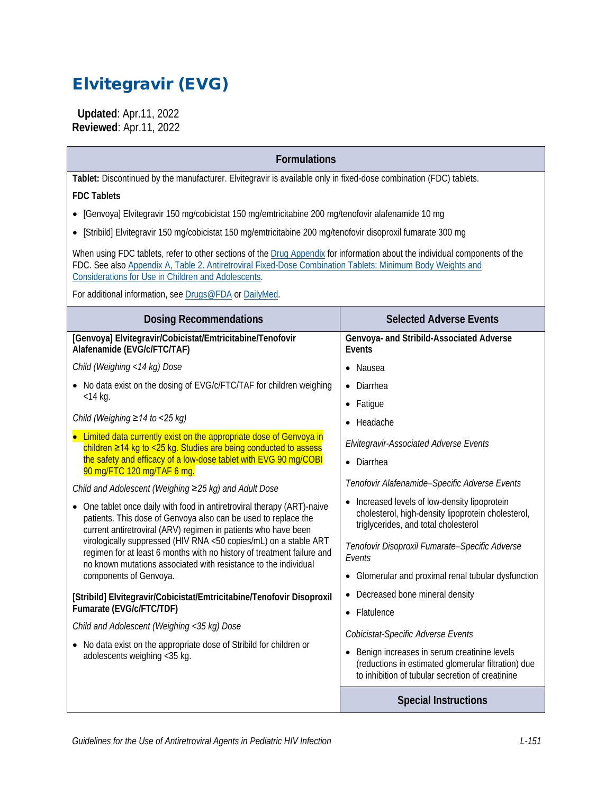# Elvitegravir (EVG)

 **Updated**: Apr.11, 2022 **Reviewed**: Apr.11, 2022

| <b>Formulations</b>                                                                                                                                                                                                                                                                              |                                                                                                                                             |  |  |  |  |  |  |
|--------------------------------------------------------------------------------------------------------------------------------------------------------------------------------------------------------------------------------------------------------------------------------------------------|---------------------------------------------------------------------------------------------------------------------------------------------|--|--|--|--|--|--|
| Tablet: Discontinued by the manufacturer. Elvitegravir is available only in fixed-dose combination (FDC) tablets.                                                                                                                                                                                |                                                                                                                                             |  |  |  |  |  |  |
| <b>FDC Tablets</b>                                                                                                                                                                                                                                                                               |                                                                                                                                             |  |  |  |  |  |  |
| [Genvoya] Elvitegravir 150 mg/cobicistat 150 mg/emtricitabine 200 mg/tenofovir alafenamide 10 mg                                                                                                                                                                                                 |                                                                                                                                             |  |  |  |  |  |  |
| [Stribild] Elvitegravir 150 mg/cobicistat 150 mg/emtricitabine 200 mg/tenofovir disoproxil fumarate 300 mg                                                                                                                                                                                       |                                                                                                                                             |  |  |  |  |  |  |
| When using FDC tablets, refer to other sections of the Drug Appendix for information about the individual components of the<br>FDC. See also Appendix A, Table 2. Antiretroviral Fixed-Dose Combination Tablets: Minimum Body Weights and<br>Considerations for Use in Children and Adolescents. |                                                                                                                                             |  |  |  |  |  |  |
| For additional information, see Drugs@FDA or DailyMed.                                                                                                                                                                                                                                           |                                                                                                                                             |  |  |  |  |  |  |
| <b>Dosing Recommendations</b>                                                                                                                                                                                                                                                                    | <b>Selected Adverse Events</b>                                                                                                              |  |  |  |  |  |  |
| [Genvoya] Elvitegravir/Cobicistat/Emtricitabine/Tenofovir<br>Alafenamide (EVG/c/FTC/TAF)                                                                                                                                                                                                         | Genvoya- and Stribild-Associated Adverse<br>Events                                                                                          |  |  |  |  |  |  |
| Child (Weighing <14 kg) Dose                                                                                                                                                                                                                                                                     | • Nausea                                                                                                                                    |  |  |  |  |  |  |
| • No data exist on the dosing of EVG/c/FTC/TAF for children weighing                                                                                                                                                                                                                             | Diarrhea<br>$\bullet$                                                                                                                       |  |  |  |  |  |  |
| $<$ 14 kg.                                                                                                                                                                                                                                                                                       | Fatigue<br>$\bullet$                                                                                                                        |  |  |  |  |  |  |
| Child (Weighing $\geq$ 14 to <25 kg)                                                                                                                                                                                                                                                             | • Headache                                                                                                                                  |  |  |  |  |  |  |
| • Limited data currently exist on the appropriate dose of Genvoya in                                                                                                                                                                                                                             | Elvitegravir-Associated Adverse Events                                                                                                      |  |  |  |  |  |  |
| children ≥14 kg to <25 kg. Studies are being conducted to assess<br>the safety and efficacy of a low-dose tablet with EVG 90 mg/COBI                                                                                                                                                             | • Diarrhea                                                                                                                                  |  |  |  |  |  |  |
| 90 mg/FTC 120 mg/TAF 6 mg.                                                                                                                                                                                                                                                                       |                                                                                                                                             |  |  |  |  |  |  |
| Child and Adolescent (Weighing ≥25 kg) and Adult Dose                                                                                                                                                                                                                                            | Tenofovir Alafenamide-Specific Adverse Events                                                                                               |  |  |  |  |  |  |
| One tablet once daily with food in antiretroviral therapy (ART)-naive<br>patients. This dose of Genvoya also can be used to replace the<br>current antiretroviral (ARV) regimen in patients who have been                                                                                        | • Increased levels of low-density lipoprotein<br>cholesterol, high-density lipoprotein cholesterol,<br>triglycerides, and total cholesterol |  |  |  |  |  |  |
| virologically suppressed (HIV RNA <50 copies/mL) on a stable ART<br>regimen for at least 6 months with no history of treatment failure and<br>no known mutations associated with resistance to the individual                                                                                    | Tenofovir Disoproxil Fumarate-Specific Adverse<br>Events                                                                                    |  |  |  |  |  |  |
| components of Genvoya.                                                                                                                                                                                                                                                                           | • Glomerular and proximal renal tubular dysfunction                                                                                         |  |  |  |  |  |  |
| [Stribild] Elvitegravir/Cobicistat/Emtricitabine/Tenofovir Disoproxil                                                                                                                                                                                                                            | • Decreased bone mineral density                                                                                                            |  |  |  |  |  |  |
| Fumarate (EVG/c/FTC/TDF)                                                                                                                                                                                                                                                                         | • Flatulence                                                                                                                                |  |  |  |  |  |  |
| Child and Adolescent (Weighing <35 kg) Dose                                                                                                                                                                                                                                                      | Cobicistat-Specific Adverse Events                                                                                                          |  |  |  |  |  |  |
| No data exist on the appropriate dose of Stribild for children or                                                                                                                                                                                                                                | Benign increases in serum creatinine levels                                                                                                 |  |  |  |  |  |  |
| adolescents weighing <35 kg.                                                                                                                                                                                                                                                                     | (reductions in estimated glomerular filtration) due<br>to inhibition of tubular secretion of creatinine                                     |  |  |  |  |  |  |
|                                                                                                                                                                                                                                                                                                  | <b>Special Instructions</b>                                                                                                                 |  |  |  |  |  |  |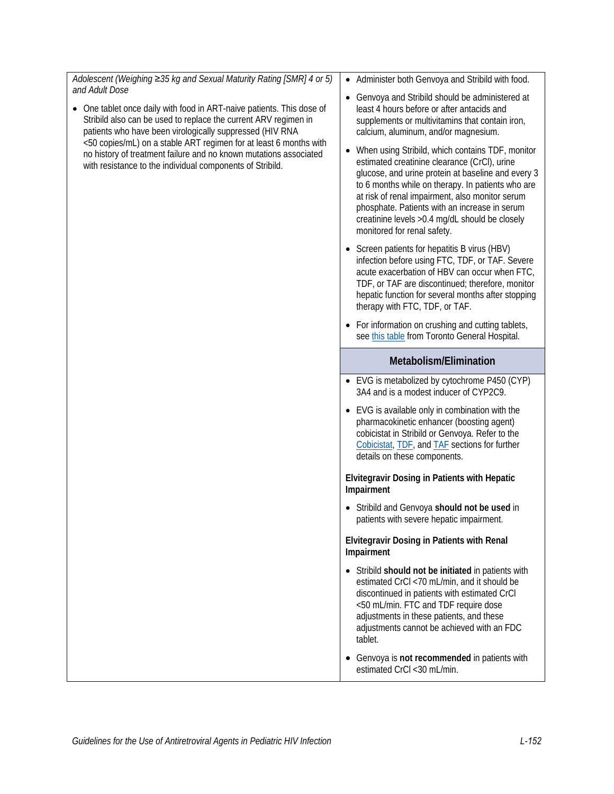| Adolescent (Weighing ≥35 kg and Sexual Maturity Rating [SMR] 4 or 5)                                                                                                                                                 | • Administer both Genvoya and Stribild with food.                                                                                                                                                                                                                                                                                                                                                 |  |  |  |  |
|----------------------------------------------------------------------------------------------------------------------------------------------------------------------------------------------------------------------|---------------------------------------------------------------------------------------------------------------------------------------------------------------------------------------------------------------------------------------------------------------------------------------------------------------------------------------------------------------------------------------------------|--|--|--|--|
| and Adult Dose<br>One tablet once daily with food in ART-naive patients. This dose of<br>Stribild also can be used to replace the current ARV regimen in<br>patients who have been virologically suppressed (HIV RNA | • Genvoya and Stribild should be administered at<br>least 4 hours before or after antacids and<br>supplements or multivitamins that contain iron,<br>calcium, aluminum, and/or magnesium.                                                                                                                                                                                                         |  |  |  |  |
| <50 copies/mL) on a stable ART regimen for at least 6 months with<br>no history of treatment failure and no known mutations associated<br>with resistance to the individual components of Stribild.                  | When using Stribild, which contains TDF, monitor<br>estimated creatinine clearance (CrCl), urine<br>glucose, and urine protein at baseline and every 3<br>to 6 months while on therapy. In patients who are<br>at risk of renal impairment, also monitor serum<br>phosphate. Patients with an increase in serum<br>creatinine levels > 0.4 mg/dL should be closely<br>monitored for renal safety. |  |  |  |  |
|                                                                                                                                                                                                                      | • Screen patients for hepatitis B virus (HBV)<br>infection before using FTC, TDF, or TAF. Severe<br>acute exacerbation of HBV can occur when FTC,<br>TDF, or TAF are discontinued; therefore, monitor<br>hepatic function for several months after stopping<br>therapy with FTC, TDF, or TAF.                                                                                                     |  |  |  |  |
|                                                                                                                                                                                                                      | • For information on crushing and cutting tablets,<br>see this table from Toronto General Hospital.                                                                                                                                                                                                                                                                                               |  |  |  |  |
|                                                                                                                                                                                                                      | Metabolism/Elimination                                                                                                                                                                                                                                                                                                                                                                            |  |  |  |  |
|                                                                                                                                                                                                                      |                                                                                                                                                                                                                                                                                                                                                                                                   |  |  |  |  |
|                                                                                                                                                                                                                      | • EVG is metabolized by cytochrome P450 (CYP)<br>3A4 and is a modest inducer of CYP2C9.                                                                                                                                                                                                                                                                                                           |  |  |  |  |
|                                                                                                                                                                                                                      | • EVG is available only in combination with the<br>pharmacokinetic enhancer (boosting agent)<br>cobicistat in Stribild or Genvoya. Refer to the<br>Cobicistat, TDF, and TAF sections for further<br>details on these components.                                                                                                                                                                  |  |  |  |  |
|                                                                                                                                                                                                                      | Elvitegravir Dosing in Patients with Hepatic<br>Impairment                                                                                                                                                                                                                                                                                                                                        |  |  |  |  |
|                                                                                                                                                                                                                      | • Stribild and Genvoya should not be used in<br>patients with severe hepatic impairment.                                                                                                                                                                                                                                                                                                          |  |  |  |  |
|                                                                                                                                                                                                                      | <b>Elvitegravir Dosing in Patients with Renal</b><br>Impairment                                                                                                                                                                                                                                                                                                                                   |  |  |  |  |
|                                                                                                                                                                                                                      | • Stribild should not be initiated in patients with<br>estimated CrCl <70 mL/min, and it should be<br>discontinued in patients with estimated CrCI<br><50 mL/min. FTC and TDF require dose<br>adjustments in these patients, and these<br>adjustments cannot be achieved with an FDC<br>tablet.                                                                                                   |  |  |  |  |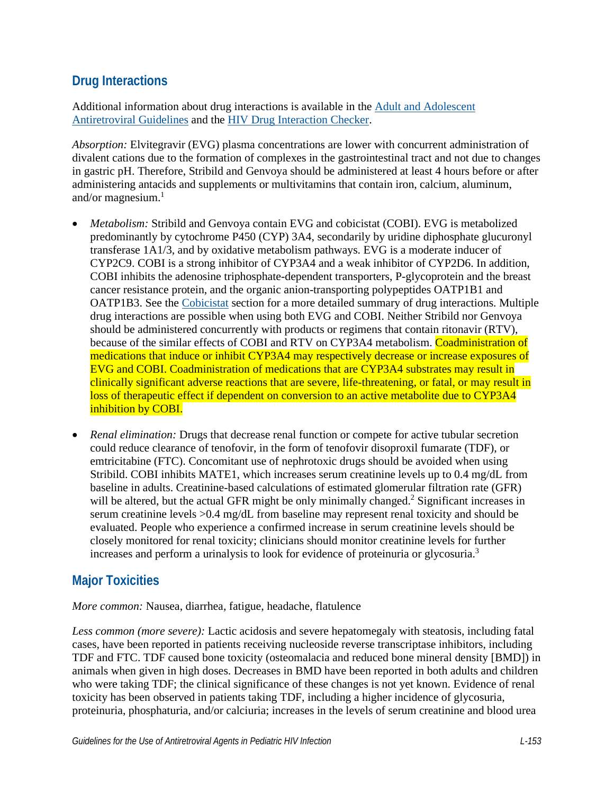### **Drug Interactions**

Additional information about drug interactions is available in the [Adult and Adolescent](https://clinicalinfo.hiv.gov/en/guidelines/adult-and-adolescent-arv/whats-new-guidelines)  [Antiretroviral Guidelines](https://clinicalinfo.hiv.gov/en/guidelines/adult-and-adolescent-arv/whats-new-guidelines) and the [HIV Drug Interaction Checker.](http://www.hiv-druginteractions.org/)

*Absorption:* Elvitegravir (EVG) plasma concentrations are lower with concurrent administration of divalent cations due to the formation of complexes in the gastrointestinal tract and not due to changes in gastric pH. Therefore, Stribild and Genvoya should be administered at least 4 hours before or after administering antacids and supplements or multivitamins that contain iron, calcium, aluminum, and/or magnesium. [1](#page-10-0)

- *Metabolism:* Stribild and Genvoya contain EVG and cobicistat (COBI). EVG is metabolized predominantly by cytochrome P450 (CYP) 3A4, secondarily by uridine diphosphate glucuronyl transferase 1A1/3, and by oxidative metabolism pathways. EVG is a moderate inducer of CYP2C9. COBI is a strong inhibitor of CYP3A4 and a weak inhibitor of CYP2D6. In addition, COBI inhibits the adenosine triphosphate-dependent transporters, P-glycoprotein and the breast cancer resistance protein, and the organic anion-transporting polypeptides OATP1B1 and OATP1B3. See the [Cobicistat](https://clinicalinfo.hiv.gov/en/guidelines/pediatric-arv/cobicistat) section for a more detailed summary of drug interactions. Multiple drug interactions are possible when using both EVG and COBI. Neither Stribild nor Genvoya should be administered concurrently with products or regimens that contain ritonavir (RTV), because of the similar effects of COBI and RTV on CYP3A4 metabolism. Coadministration of medications that induce or inhibit CYP3A4 may respectively decrease or increase exposures of EVG and COBI. Coadministration of medications that are CYP3A4 substrates may result in clinically significant adverse reactions that are severe, life-threatening, or fatal, or may result in loss of therapeutic effect if dependent on conversion to an active metabolite due to CYP3A4 inhibition by COBI.
- *Renal elimination:* Drugs that decrease renal function or compete for active tubular secretion could reduce clearance of tenofovir, in the form of tenofovir disoproxil fumarate (TDF), or emtricitabine (FTC). Concomitant use of nephrotoxic drugs should be avoided when using Stribild. COBI inhibits MATE1, which increases serum creatinine levels up to 0.4 mg/dL from baseline in adults. Creatinine-based calculations of estimated glomerular filtration rate (GFR) will be altered, but the actual GFR might be only minimally changed.<sup>2</sup> Significant increases in serum creatinine levels >0.4 mg/dL from baseline may represent renal toxicity and should be evaluated. People who experience a confirmed increase in serum creatinine levels should be closely monitored for renal toxicity; clinicians should monitor creatinine levels for further increases and perform a urinalysis to look for evidence of proteinuria or glycosuria[.3](#page-10-2)

# **Major Toxicities**

*More common:* Nausea, diarrhea, fatigue, headache, flatulence

*Less common (more severe):* Lactic acidosis and severe hepatomegaly with steatosis, including fatal cases, have been reported in patients receiving nucleoside reverse transcriptase inhibitors, including TDF and FTC. TDF caused bone toxicity (osteomalacia and reduced bone mineral density [BMD]) in animals when given in high doses. Decreases in BMD have been reported in both adults and children who were taking TDF; the clinical significance of these changes is not yet known. Evidence of renal toxicity has been observed in patients taking TDF, including a higher incidence of glycosuria, proteinuria, phosphaturia, and/or calciuria; increases in the levels of serum creatinine and blood urea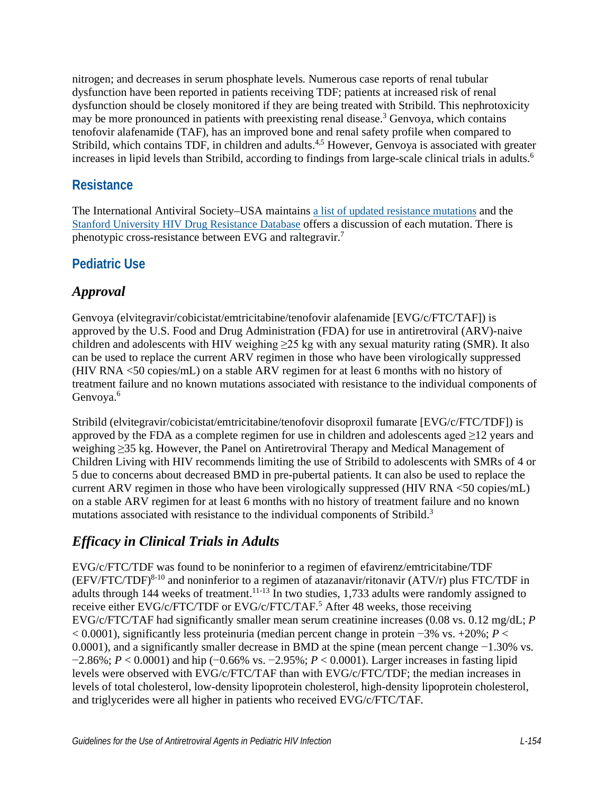nitrogen; and decreases in serum phosphate levels*.* Numerous case reports of renal tubular dysfunction have been reported in patients receiving TDF; patients at increased risk of renal dysfunction should be closely monitored if they are being treated with Stribild. This nephrotoxicity may be more pronounced in patients with preexisting renal disease.<sup>3</sup> Genvoya, which contains tenofovir alafenamide (TAF), has an improved bone and renal safety profile when compared to Stribild, which contains TDF, in children and adults.<sup>[4,](#page-10-3)[5](#page-10-4)</sup> However, Genvoya is associated with greater increases in lipid levels than Stribild, according to findings from large-scale clinical trials in adult[s.](#page-10-5) 6

### **Resistance**

The International Antiviral Society–USA maintains [a list of updated resistance mutations](https://www.iasusa.org/resources/hiv-drug-resistance-mutations/) and the [Stanford University HIV Drug Resistance Database](http://hivdb.stanford.edu/DR/) offers a discussion of each mutation. There is phenotypic cross-resistance between EVG and raltegravir[.7](#page-10-6)

### **Pediatric Use**

# *Approval*

Genvoya (elvitegravir/cobicistat/emtricitabine/tenofovir alafenamide [EVG/c/FTC/TAF]) is approved by the U.S. Food and Drug Administration (FDA) for use in antiretroviral (ARV)-naive children and adolescents with HIV weighing  $\geq$ 25 kg with any sexual maturity rating (SMR). It also can be used to replace the current ARV regimen in those who have been virologically suppressed (HIV RNA <50 copies/mL) on a stable ARV regimen for at least 6 months with no history of treatment failure and no known mutations associated with resistance to the individual components of Genvoya.<sup>6</sup>

Stribild (elvitegravir/cobicistat/emtricitabine/tenofovir disoproxil fumarate [EVG/c/FTC/TDF]) is approved by the FDA as a complete regimen for use in children and adolescents aged ≥12 years and weighing ≥35 kg. However, the Panel on Antiretroviral Therapy and Medical Management of Children Living with HIV recommends limiting the use of Stribild to adolescents with SMRs of 4 or 5 due to concerns about decreased BMD in pre-pubertal patients. It can also be used to replace the current ARV regimen in those who have been virologically suppressed (HIV RNA <50 copies/mL) on a stable ARV regimen for at least 6 months with no history of treatment failure and no known mutations associated with resistance to the individual components of Stribild.<sup>3</sup>

# *Efficacy in Clinical Trials in Adults*

EVG/c/FTC/TDF was found to be noninferior to a regimen of efavirenz/emtricitabine/TDF  $(EFV/FTC/TDF)^{8-10}$  and noninferior to a regimen of atazanavir/ritonavir  $(ATV/r)$  plus FTC/TDF in adults through 144 weeks of treatment.<sup>11-13</sup> In two studies, 1,733 adults were randomly assigned to receive either EVG/c/FTC/TDF or EVG/c/FTC/TAF.<sup>5</sup> After 48 weeks, those receiving EVG/c/FTC/TAF had significantly smaller mean serum creatinine increases (0.08 vs. 0.12 mg/dL; *P* < 0.0001), significantly less proteinuria (median percent change in protein −3% vs. +20%; *P* < 0.0001), and a significantly smaller decrease in BMD at the spine (mean percent change −1.30% vs. −2.86%; *P* < 0.0001) and hip (−0.66% vs. −2.95%; *P* < 0.0001). Larger increases in fasting lipid levels were observed with EVG/c/FTC/TAF than with EVG/c/FTC/TDF; the median increases in levels of total cholesterol, low-density lipoprotein cholesterol, high-density lipoprotein cholesterol, and triglycerides were all higher in patients who received EVG/c/FTC/TAF*.*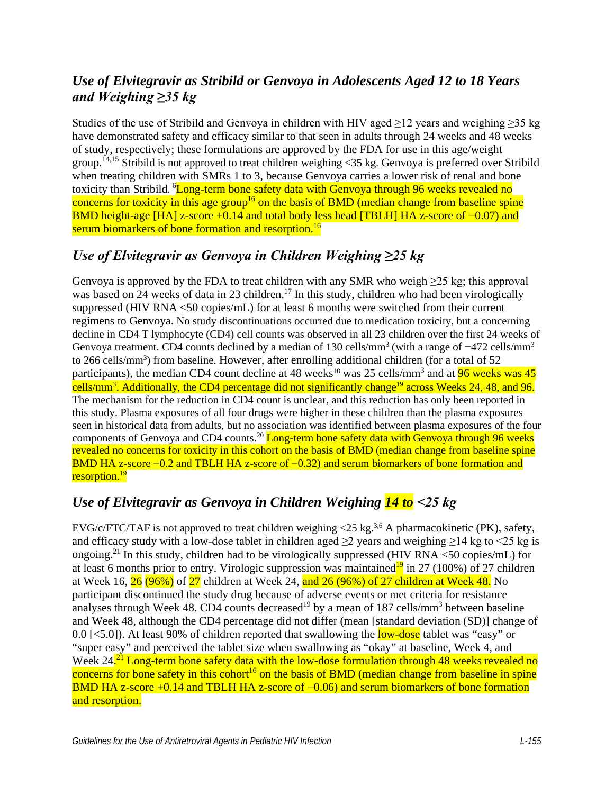# *Use of Elvitegravir as Stribild or Genvoya in Adolescents Aged 12 to 18 Years and Weighing ≥35 kg*

Studies of the use of Stribild and Genvoya in children with HIV aged ≥12 years and weighing ≥35 kg have demonstrated safety and efficacy similar to that seen in adults through 24 weeks and 48 weeks of study, respectively; these formulations are approved by the FDA for use in this age/weight group.<sup>[14](#page-11-1)[,15](#page-11-2)</sup> Stribild is not approved to treat children weighing <35 kg. Genvoya is preferred over Stribild when treating children with SMRs 1 to 3, because Genvoya carries a lower risk of renal and bone toxicity than Stribild[.](#page-10-5) <sup>6</sup>Long-term bone safety data with Genvoya through 96 weeks revealed no concerns for toxicity in this age group<sup>16</sup> on the basis of BMD (median change from baseline spine BMD height-age [HA] z-score +0.14 and total body less head [TBLH] HA z-score of −0.07) and serum biomarkers of bone formation and resorption.<sup>16</sup>

### *Use of Elvitegravir as Genvoya in Children Weighing ≥25 kg*

Genvoya is approved by the FDA to treat children with any SMR who weigh  $\geq$ 25 kg; this approval was based on 24 weeks of data in 23 children.<sup>17</sup> In this study, children who had been virologically suppressed (HIV RNA <50 copies/mL) for at least 6 months were switched from their current regimens to Genvoya. No study discontinuations occurred due to medication toxicity, but a concerning decline in CD4 T lymphocyte (CD4) cell counts was observed in all 23 children over the first 24 weeks of Genvoya treatment. CD4 counts declined by a median of 130 cells/mm<sup>3</sup> (with a range of -472 cells/mm<sup>3</sup> to 266 cells/mm<sup>3</sup>) from baseline. However, after enrolling additional children (for a total of 52 participants), the median CD4 count decline at 48 weeks<sup>18</sup> was 25 cells/mm<sup>3</sup> and at **96 weeks was 45** cells/mm<sup>3</sup>. Additionally, the CD4 percentage did not significantly change<sup>19</sup> across Weeks 24, 48, and 96. The mechanism for the reduction in CD4 count is unclear, and this reduction has only been reported in this study. Plasma exposures of all four drugs were higher in these children than the plasma exposures seen in historical data from adults, but no association was identified between plasma exposures of the four components of Genvoya and CD4 counts.<sup>20</sup> Long-term bone safety data with Genvoya through 96 weeks revealed no concerns for toxicity in this cohort on the basis of BMD (median change from baseline spine BMD HA z-score −0.2 and TBLH HA z-score of −0.32) and serum biomarkers of bone formation and resorption.<sup>19</sup>

# *Use of Elvitegravir as Genvoya in Children Weighing 14 to <25 kg*

EVG/c/FTC/TAF is not approved to treat children weighing  $\langle 25 \text{ kg.}^{3,6} \text{ A} \text{ pharmacokinetic (PK)}$  $\langle 25 \text{ kg.}^{3,6} \text{ A} \text{ pharmacokinetic (PK)}$  $\langle 25 \text{ kg.}^{3,6} \text{ A} \text{ pharmacokinetic (PK)}$ , safety, and efficacy study with a low-dose tablet in children aged  $\geq$  years and weighing  $\geq$  14 kg to <25 kg is ongoing.<sup>21</sup> In this study, children had to be virologically suppressed (HIV RNA  $\leq 50$  copies/mL) for at least 6 months prior to entry. Virologic suppression was maintained $19$  in 27 (100%) of 27 children at Week 16, 26 (96%) of 27 children at Week 24, and 26 (96%) of 27 children at Week 48. No participant discontinued the study drug because of adverse events or met criteria for resistance analyses through Week 48. CD4 counts decreased<sup>19</sup> by a mean of 187 cells/mm<sup>3</sup> between baseline and Week 48, although the CD4 percentage did not differ (mean [standard deviation (SD)] change of 0.0  $\leq$  5.0]). At least 90% of children reported that swallowing the low-dose tablet was "easy" or "super easy" and perceived the tablet size when swallowing as "okay" at baseline, Week 4, and Week 24<sup>21</sup> Long-term bone safety data with the low-dose formulation through 48 weeks revealed no concerns for bone safety in this cohort<sup>16</sup> on the basis of BMD (median change from baseline in spine BMD HA z-score +0.14 and TBLH HA z-score of −0.06) and serum biomarkers of bone formation and resorption.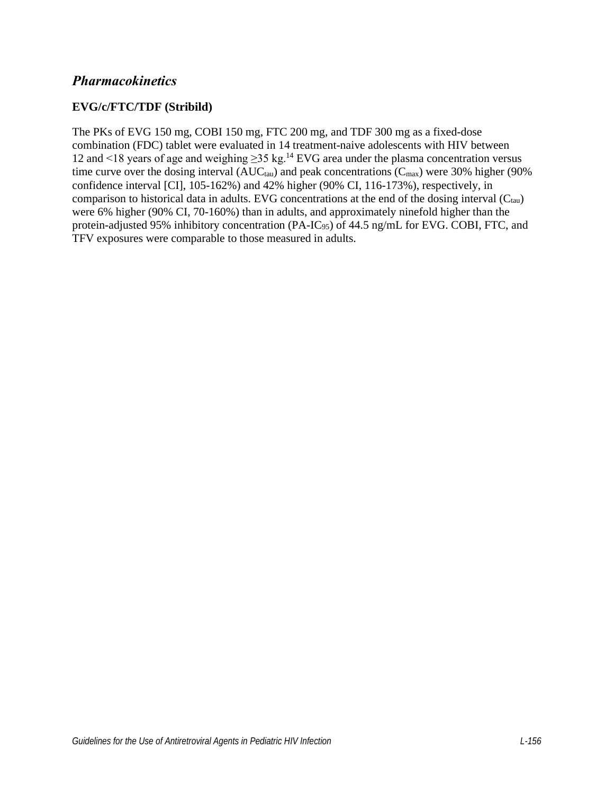### *Pharmacokinetics*

### **EVG/c/FTC/TDF (Stribild)**

The PKs of EVG 150 mg, COBI 150 mg, FTC 200 mg, and TDF 300 mg as a fixed-dose combination (FDC) tablet were evaluated in 14 treatment-naive adolescents with HIV between 12 and <18 years of age and weighing ≥35 kg.[14](#page-11-1) EVG area under the plasma concentration versus time curve over the dosing interval  $(AUC_{tau})$  and peak concentrations  $(C_{max})$  were 30% higher (90%) confidence interval [CI], 105-162%) and 42% higher (90% CI, 116-173%), respectively, in comparison to historical data in adults. EVG concentrations at the end of the dosing interval  $(C_{tau})$ were 6% higher (90% CI, 70-160%) than in adults, and approximately ninefold higher than the protein-adjusted 95% inhibitory concentration (PA-IC95) of 44.5 ng/mL for EVG. COBI, FTC, and TFV exposures were comparable to those measured in adults.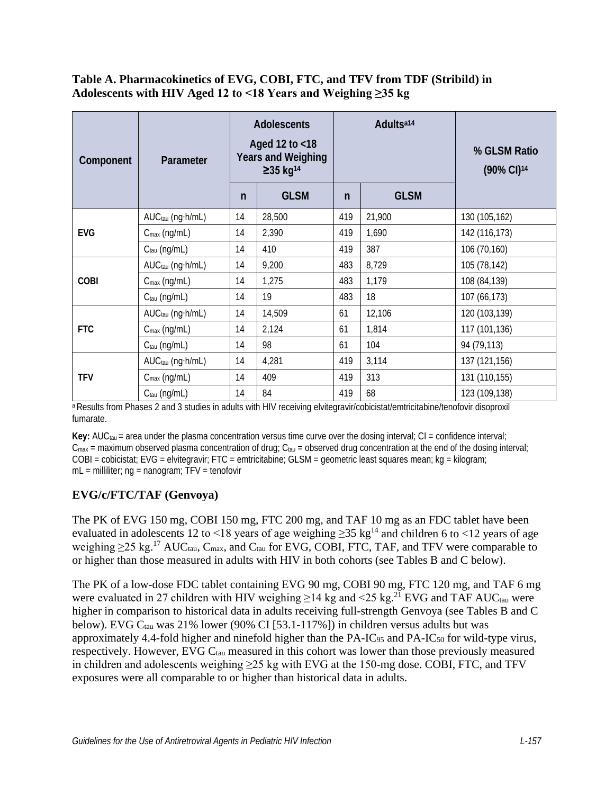#### **Table A. Pharmacokinetics of EVG, COBI, FTC, and TFV from TDF (Stribild) in Adolescents with HIV Aged 12 to <18 Years and Weighing ≥35 kg**

| Component  | Parameter                    | <b>Adolescents</b><br>Aged 12 to <18<br><b>Years and Weighing</b><br>≥35 kg <sup>14</sup> |             |              | Adults <sup>a14</sup> | % GLSM Ratio<br>(90% CI) <sup>14</sup> |  |
|------------|------------------------------|-------------------------------------------------------------------------------------------|-------------|--------------|-----------------------|----------------------------------------|--|
|            |                              | $\mathsf{n}$                                                                              | <b>GLSM</b> | $\mathsf{n}$ | <b>GLSM</b>           |                                        |  |
| <b>EVG</b> | AUC <sub>tau</sub> (ng·h/mL) | 14                                                                                        | 28,500      | 419          | 21,900                | 130 (105,162)                          |  |
|            | $C_{\text{max}}$ (ng/mL)     | 14                                                                                        | 2,390       | 419          | 1,690                 | 142 (116,173)                          |  |
|            | C <sub>tau</sub> (ng/mL)     | 14                                                                                        | 410         | 419          | 387                   | 106 (70,160)                           |  |
| COBI       | AUC <sub>tau</sub> (ng·h/mL) | 14                                                                                        | 9,200       | 483<br>8,729 |                       | 105 (78,142)                           |  |
|            | $C_{\text{max}}$ (ng/mL)     | 14                                                                                        | 1,275       | 483          | 1,179                 | 108 (84,139)                           |  |
|            | C <sub>tau</sub> (ng/mL)     | 14                                                                                        | 19          | 483          | 18                    | 107 (66,173)                           |  |
| <b>FTC</b> | AUC <sub>tau</sub> (ng·h/mL) | 14                                                                                        | 14,509      | 61           | 12,106                | 120 (103,139)                          |  |
|            | $C_{\text{max}}$ (ng/mL)     | 14                                                                                        | 2,124       | 61           | 1,814                 | 117 (101,136)                          |  |
|            | $Ctau$ (ng/mL)               | 14                                                                                        | 98          | 61           | 104                   | 94 (79,113)                            |  |
| <b>TFV</b> | AUC <sub>tau</sub> (ng·h/mL) | 14                                                                                        | 4,281       | 419          | 3,114                 | 137 (121,156)                          |  |
|            | $C_{\text{max}}$ (ng/mL)     | 14                                                                                        | 409         | 419          | 313                   | 131 (110,155)                          |  |
|            | C <sub>tau</sub> (ng/mL)     | 14                                                                                        | 84          | 419          | 68                    | 123 (109,138)                          |  |

a Results from Phases 2 and 3 studies in adults with HIV receiving elvitegravir/cobicistat/emtricitabine/tenofovir disoproxil fumarate.

**Key:**  $AUC_{\text{tau}}$  = area under the plasma concentration versus time curve over the dosing interval;  $Cl$  = confidence interval;  $C_{\text{max}}$  = maximum observed plasma concentration of drug;  $C_{\text{law}}$  = observed drug concentration at the end of the dosing interval; COBI = cobicistat; EVG = elvitegravir; FTC = emtricitabine; GLSM = geometric least squares mean; kg = kilogram;  $mL =$  milliliter;  $nq =$  nanogram; TFV = tenofovir

#### **EVG/c/FTC/TAF (Genvoya)**

The PK of EVG 150 mg, COBI 150 mg, FTC 200 mg, and TAF 10 mg as an FDC tablet have been evaluated in adolescents 12 to <18 years of age weighing  $\geq$ 35 kg<sup>14</sup> and children 6 to <12 years of age weighing  $\geq$ 25 kg.<sup>[17](#page-12-0)</sup> AUC<sub>tau</sub>, C<sub>max</sub>, and C<sub>tau</sub> for EVG, COBI, FTC, TAF, and TFV were comparable to or higher than those measured in adults with HIV in both cohorts (see Tables B and C below).

The PK of a low-dose FDC tablet containing EVG 90 mg, COBI 90 mg, FTC 120 mg, and TAF 6 mg were evaluated in 27 children with HIV weighing  $\geq$ 14 kg and <25 kg.<sup>[21](#page-12-4)</sup> EVG and TAF AUC<sub>tau</sub> were higher in comparison to historical data in adults receiving full-strength Genvoya (see Tables B and C below). EVG  $C<sub>tau</sub>$  was 21% lower (90% CI [53.1-117%]) in children versus adults but was approximately 4.4-fold higher and ninefold higher than the PA-IC<sub>95</sub> and PA-IC<sub>50</sub> for wild-type virus, respectively. However, EVG C<sub>tau</sub> measured in this cohort was lower than those previously measured in children and adolescents weighing ≥25 kg with EVG at the 150-mg dose. COBI, FTC, and TFV exposures were all comparable to or higher than historical data in adults.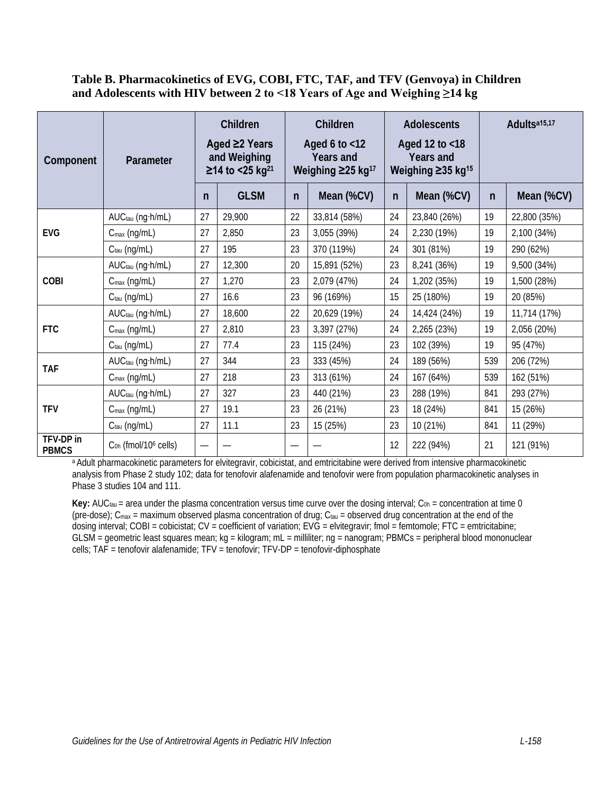#### **Table B. Pharmacokinetics of EVG, COBI, FTC, TAF, and TFV (Genvoya) in Children and Adolescents with HIV between 2 to <18 Years of Age and Weighing ≥14 kg**

| Component                 | Parameter                                    | Children<br>Aged $\geq$ 2 Years<br>and Weighing<br>$≥14$ to <25 kg <sup>21</sup> |             | Children<br>Aged 6 to $<$ 12<br><b>Years and</b><br>Weighing $\geq$ 25 kg <sup>17</sup> |              | <b>Adolescents</b><br>Aged 12 to <18<br>Years and<br>Weighing $\geq$ 35 kg <sup>15</sup> |              | Adults <sup>a15,17</sup> |              |
|---------------------------|----------------------------------------------|----------------------------------------------------------------------------------|-------------|-----------------------------------------------------------------------------------------|--------------|------------------------------------------------------------------------------------------|--------------|--------------------------|--------------|
|                           |                                              | $\mathsf{n}$                                                                     | <b>GLSM</b> | $\mathsf{n}$                                                                            | Mean (%CV)   | Mean (%CV)<br>n                                                                          |              | $\mathsf{n}$             | Mean (%CV)   |
|                           | AUC <sub>tau</sub> (ng·h/mL)                 | 27                                                                               | 29,900      | 22                                                                                      | 33,814 (58%) | 24                                                                                       | 23,840 (26%) | 19                       | 22,800 (35%) |
| <b>EVG</b>                | $C_{\text{max}}$ (ng/mL)                     | 27                                                                               | 2,850       | 23                                                                                      | 3,055 (39%)  | 24                                                                                       | 2,230 (19%)  | 19                       | 2,100 (34%)  |
|                           | Ctau (ng/mL)                                 | 27                                                                               | 195         | 23                                                                                      | 370 (119%)   | 24                                                                                       | 301 (81%)    | 19                       | 290 (62%)    |
|                           | AUC <sub>tau</sub> (ng·h/mL)                 | 27                                                                               | 12,300      | 20                                                                                      | 15,891 (52%) | 23                                                                                       | 8,241 (36%)  | 19                       | 9,500 (34%)  |
| COBI                      | $C_{\text{max}}$ (ng/mL)                     | 27                                                                               | 1,270       | 23                                                                                      | 2,079 (47%)  | 24                                                                                       | 1,202 (35%)  | 19                       | 1,500 (28%)  |
|                           | $Ctau$ (ng/mL)                               | 27                                                                               | 16.6        | 23                                                                                      | 96 (169%)    | 15                                                                                       | 25 (180%)    | 19                       | 20 (85%)     |
|                           | AUC <sub>tau</sub> (ng·h/mL)                 | 27                                                                               | 18,600      | 22                                                                                      | 20,629 (19%) | 24                                                                                       | 14,424 (24%) | 19                       | 11,714 (17%) |
| <b>FTC</b>                | $C_{\text{max}}$ (ng/mL)                     | 27                                                                               | 2,810       | 23                                                                                      | 3,397 (27%)  | 24                                                                                       | 2,265 (23%)  | 19                       | 2,056 (20%)  |
|                           | Ctau (ng/mL)                                 | 27                                                                               | 77.4        | 23                                                                                      | 115 (24%)    | 23                                                                                       | 102 (39%)    | 19                       | 95 (47%)     |
| <b>TAF</b>                | AUC <sub>tau</sub> (ng·h/mL)                 | 27                                                                               | 344         | 23                                                                                      | 333 (45%)    | 24                                                                                       | 189 (56%)    | 539                      | 206 (72%)    |
|                           | $C_{\text{max}}$ (ng/mL)                     | 27                                                                               | 218         | 23                                                                                      | 313 (61%)    | 24                                                                                       | 167 (64%)    | 539                      | 162 (51%)    |
|                           | AUC <sub>tau</sub> (ng·h/mL)                 | 27                                                                               | 327         | 23                                                                                      | 440 (21%)    | 23                                                                                       | 288 (19%)    | 841                      | 293 (27%)    |
| <b>TFV</b>                | $C_{\text{max}}$ (ng/mL)                     | 27                                                                               | 19.1        | 23                                                                                      | 26 (21%)     | 23                                                                                       | 18 (24%)     | 841                      | 15 (26%)     |
|                           | Ctau (ng/mL)                                 | 27                                                                               | 11.1        | 23                                                                                      | 15 (25%)     | 23                                                                                       | 10 (21%)     | 841                      | 11 (29%)     |
| TFV-DP in<br><b>PBMCS</b> | C <sub>0h</sub> (fmol/10 <sup>6</sup> cells) |                                                                                  |             |                                                                                         |              | 12                                                                                       | 222 (94%)    | 21                       | 121 (91%)    |

a Adult pharmacokinetic parameters for elvitegravir, cobicistat, and emtricitabine were derived from intensive pharmacokinetic analysis from Phase 2 study 102; data for tenofovir alafenamide and tenofovir were from population pharmacokinetic analyses in Phase 3 studies 104 and 111.

**Key:** AUC<sub>tau</sub> = area under the plasma concentration versus time curve over the dosing interval;  $C_{0h}$  = concentration at time 0 (pre-dose);  $C_{max}$  = maximum observed plasma concentration of drug;  $C_{tau}$  = observed drug concentration at the end of the dosing interval; COBI = cobicistat; CV = coefficient of variation; EVG = elvitegravir; fmol = femtomole; FTC = emtricitabine;  $GLSM =$  geometric least squares mean;  $kq =$  kilogram;  $mL =$  milliliter;  $nq =$  nanogram; PBMCs = peripheral blood mononuclear cells; TAF = tenofovir alafenamide; TFV = tenofovir; TFV-DP = tenofovir-diphosphate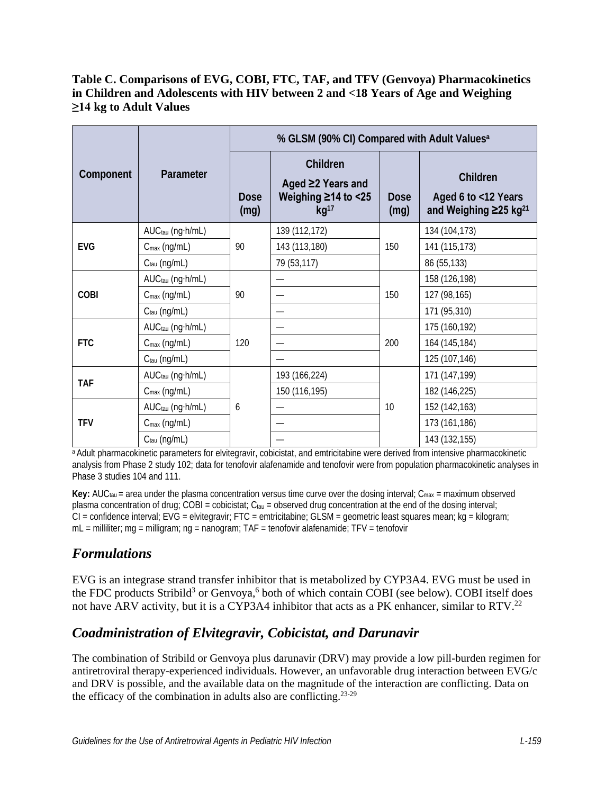### **Table C. Comparisons of EVG, COBI, FTC, TAF, and TFV (Genvoya) Pharmacokinetics in Children and Adolescents with HIV between 2 and <18 Years of Age and Weighing ≥14 kg to Adult Values**

|            |                              | % GLSM (90% CI) Compared with Adult Values <sup>a</sup> |                                                                                |                     |                                                                      |  |  |  |
|------------|------------------------------|---------------------------------------------------------|--------------------------------------------------------------------------------|---------------------|----------------------------------------------------------------------|--|--|--|
| Component  | Parameter                    | <b>Dose</b><br>(mq)                                     | Children<br>Aged ≥2 Years and<br>Weighing $\geq$ 14 to <25<br>kg <sup>17</sup> | <b>Dose</b><br>(mq) | Children<br>Aged 6 to <12 Years<br>and Weighing ≥25 kg <sup>21</sup> |  |  |  |
| <b>EVG</b> | AUC <sub>tau</sub> (ng·h/mL) | 90                                                      | 139 (112,172)                                                                  | 150                 | 134 (104,173)                                                        |  |  |  |
|            | $C_{\text{max}}$ (ng/mL)     |                                                         | 143 (113,180)                                                                  |                     | 141 (115,173)                                                        |  |  |  |
|            | $Ctau$ (ng/mL)               |                                                         | 79 (53,117)                                                                    |                     | 86 (55,133)                                                          |  |  |  |
| COBI       | AUC <sub>tau</sub> (ng·h/mL) | 90                                                      |                                                                                | 150                 | 158 (126,198)                                                        |  |  |  |
|            | $C_{\text{max}}$ (ng/mL)     |                                                         |                                                                                |                     | 127 (98,165)                                                         |  |  |  |
|            | C <sub>tau</sub> (ng/mL)     |                                                         |                                                                                |                     | 171 (95,310)                                                         |  |  |  |
| <b>FTC</b> | AUC <sub>tau</sub> (ng·h/mL) | 120                                                     |                                                                                |                     | 175 (160,192)                                                        |  |  |  |
|            | $C_{\text{max}}$ (ng/mL)     |                                                         |                                                                                | 200                 | 164 (145,184)                                                        |  |  |  |
|            | $Ctau$ (ng/mL)               |                                                         |                                                                                |                     | 125 (107,146)                                                        |  |  |  |
| <b>TAF</b> | AUC <sub>tau</sub> (ng·h/mL) |                                                         | 193 (166,224)                                                                  |                     | 171 (147,199)                                                        |  |  |  |
|            | $C_{\text{max}}$ (ng/mL)     |                                                         | 150 (116,195)                                                                  |                     | 182 (146,225)                                                        |  |  |  |
| <b>TFV</b> | AUC <sub>tau</sub> (ng·h/mL) | 6                                                       |                                                                                | 10                  | 152 (142,163)                                                        |  |  |  |
|            | $C_{\text{max}}$ (ng/mL)     |                                                         |                                                                                |                     | 173 (161,186)                                                        |  |  |  |
|            | C <sub>tau</sub> (ng/mL)     |                                                         |                                                                                |                     | 143 (132,155)                                                        |  |  |  |

a Adult pharmacokinetic parameters for elvitegravir, cobicistat, and emtricitabine were derived from intensive pharmacokinetic analysis from Phase 2 study 102; data for tenofovir alafenamide and tenofovir were from population pharmacokinetic analyses in Phase 3 studies 104 and 111.

**Key:** AUC<sub>tau</sub> = area under the plasma concentration versus time curve over the dosing interval;  $C_{\text{max}}$  = maximum observed plasma concentration of drug; COBI = cobicistat; C<sub>lau</sub> = observed drug concentration at the end of the dosing interval; CI = confidence interval; EVG = elvitegravir; FTC = emtricitabine; GLSM = geometric least squares mean; kg = kilogram;  $mL =$  milliliter; mg = milligram; ng = nanogram; TAF = tenofovir alafenamide; TFV = tenofovir

# *Formulations*

EVG is an integrase strand transfer inhibitor that is metabolized by CYP3A4. EVG must be used in the FDC products Stribild<sup>3</sup> or Genvoya,<sup>6</sup> both of which contain COBI (see below). COBI itself does not have ARV activity, but it is a CYP3A4 inhibitor that acts as a PK enhancer, similar to RTV.<sup>22</sup>

# *Coadministration of Elvitegravir, Cobicistat, and Darunavir*

The combination of Stribild or Genvoya plus darunavir (DRV) may provide a low pill-burden regimen for antiretroviral therapy-experienced individuals. However, an unfavorable drug interaction between EVG/c and DRV is possible, and the available data on the magnitude of the interaction are conflicting. Data on the efficacy of the combination in adults also are conflicting.<sup>[23-29](#page-12-6)</sup>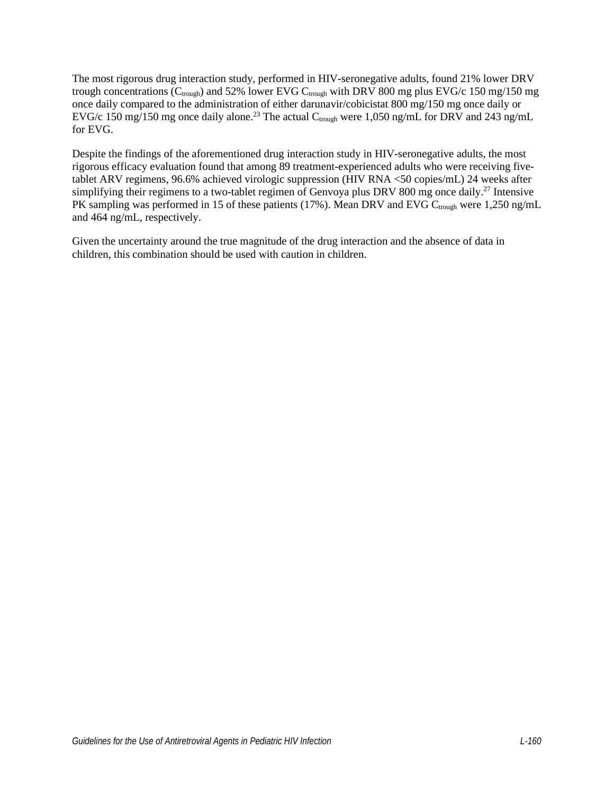The most rigorous drug interaction study, performed in HIV-seronegative adults, found 21% lower DRV trough concentrations ( $C_{\text{trough}}$ ) and 52% lower EVG  $C_{\text{trough}}$  with DRV 800 mg plus EVG/c 150 mg/150 mg once daily compared to the administration of either darunavir/cobicistat 800 mg/150 mg once daily or EVG/c 150 mg/150 mg once daily alone.<sup>23</sup> The actual C<sub>trough</sub> were 1,050 ng/mL for DRV and 243 ng/mL for EVG.

Despite the findings of the aforementioned drug interaction study in HIV-seronegative adults, the most rigorous efficacy evaluation found that among 89 treatment-experienced adults who were receiving fivetablet ARV regimens, 96.6% achieved virologic suppression (HIV RNA <50 copies/mL) 24 weeks after simplifying their regimens to a two-tablet regimen of Genvoya plus DRV 800 mg once daily.<sup>27</sup> Intensive PK sampling was performed in 15 of these patients (17%). Mean DRV and EVG  $C_{\text{trough}}$  were 1,250 ng/mL and 464 ng/mL, respectively.

Given the uncertainty around the true magnitude of the drug interaction and the absence of data in children, this combination should be used with caution in children.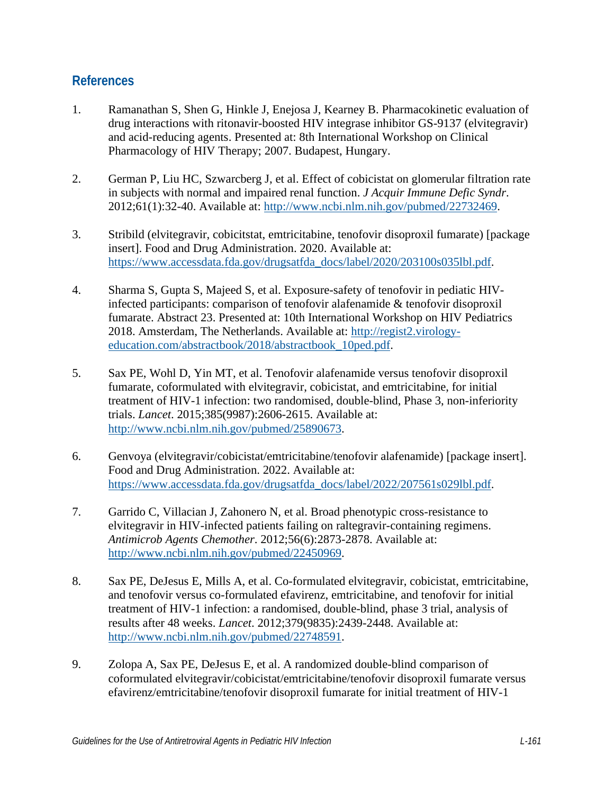### **References**

- <span id="page-10-0"></span>1. Ramanathan S, Shen G, Hinkle J, Enejosa J, Kearney B. Pharmacokinetic evaluation of drug interactions with ritonavir-boosted HIV integrase inhibitor GS-9137 (elvitegravir) and acid-reducing agents. Presented at: 8th International Workshop on Clinical Pharmacology of HIV Therapy; 2007. Budapest, Hungary.
- <span id="page-10-1"></span>2. German P, Liu HC, Szwarcberg J, et al. Effect of cobicistat on glomerular filtration rate in subjects with normal and impaired renal function. *J Acquir Immune Defic Syndr*. 2012;61(1):32-40. Available at: [http://www.ncbi.nlm.nih.gov/pubmed/22732469.](http://www.ncbi.nlm.nih.gov/pubmed/22732469)
- <span id="page-10-2"></span>3. Stribild (elvitegravir, cobicitstat, emtricitabine, tenofovir disoproxil fumarate) [package insert]. Food and Drug Administration. 2020. Available at: [https://www.accessdata.fda.gov/drugsatfda\\_docs/label/2020/203100s035lbl.pdf.](https://www.accessdata.fda.gov/drugsatfda_docs/label/2020/203100s035lbl.pdf)
- <span id="page-10-3"></span>4. Sharma S, Gupta S, Majeed S, et al. Exposure-safety of tenofovir in pediatic HIVinfected participants: comparison of tenofovir alafenamide & tenofovir disoproxil fumarate. Abstract 23. Presented at: 10th International Workshop on HIV Pediatrics 2018. Amsterdam, The Netherlands. Available at: [http://regist2.virology](http://regist2.virology-education.com/abstractbook/2018/abstractbook_10ped.pdf)[education.com/abstractbook/2018/abstractbook\\_10ped.pdf.](http://regist2.virology-education.com/abstractbook/2018/abstractbook_10ped.pdf)
- <span id="page-10-4"></span>5. Sax PE, Wohl D, Yin MT, et al. Tenofovir alafenamide versus tenofovir disoproxil fumarate, coformulated with elvitegravir, cobicistat, and emtricitabine, for initial treatment of HIV-1 infection: two randomised, double-blind, Phase 3, non-inferiority trials. *Lancet*. 2015;385(9987):2606-2615. Available at: [http://www.ncbi.nlm.nih.gov/pubmed/25890673.](http://www.ncbi.nlm.nih.gov/pubmed/25890673)
- <span id="page-10-5"></span>6. Genvoya (elvitegravir/cobicistat/emtricitabine/tenofovir alafenamide) [package insert]. Food and Drug Administration. 2022. Available at: [https://www.accessdata.fda.gov/drugsatfda\\_docs/label/2022/207561s029lbl.pdf.](https://www.accessdata.fda.gov/drugsatfda_docs/label/2022/207561s029lbl.pdf)
- <span id="page-10-6"></span>7. Garrido C, Villacian J, Zahonero N, et al. Broad phenotypic cross-resistance to elvitegravir in HIV-infected patients failing on raltegravir-containing regimens. *Antimicrob Agents Chemother*. 2012;56(6):2873-2878. Available at: [http://www.ncbi.nlm.nih.gov/pubmed/22450969.](http://www.ncbi.nlm.nih.gov/pubmed/22450969)
- <span id="page-10-7"></span>8. Sax PE, DeJesus E, Mills A, et al. Co-formulated elvitegravir, cobicistat, emtricitabine, and tenofovir versus co-formulated efavirenz, emtricitabine, and tenofovir for initial treatment of HIV-1 infection: a randomised, double-blind, phase 3 trial, analysis of results after 48 weeks. *Lancet*. 2012;379(9835):2439-2448. Available at: [http://www.ncbi.nlm.nih.gov/pubmed/22748591.](http://www.ncbi.nlm.nih.gov/pubmed/22748591)
- 9. Zolopa A, Sax PE, DeJesus E, et al. A randomized double-blind comparison of coformulated elvitegravir/cobicistat/emtricitabine/tenofovir disoproxil fumarate versus efavirenz/emtricitabine/tenofovir disoproxil fumarate for initial treatment of HIV-1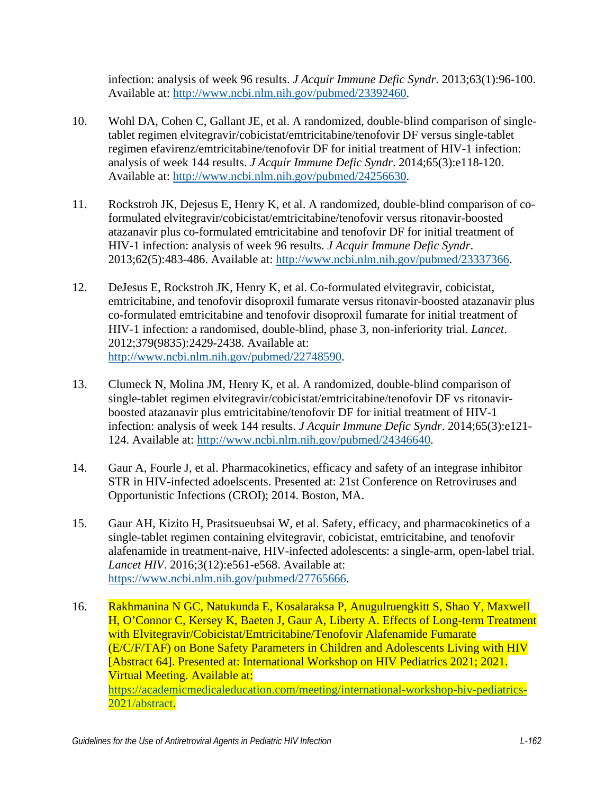infection: analysis of week 96 results. *J Acquir Immune Defic Syndr*. 2013;63(1):96-100. Available at: [http://www.ncbi.nlm.nih.gov/pubmed/23392460.](http://www.ncbi.nlm.nih.gov/pubmed/23392460)

- 10. Wohl DA, Cohen C, Gallant JE, et al. A randomized, double-blind comparison of singletablet regimen elvitegravir/cobicistat/emtricitabine/tenofovir DF versus single-tablet regimen efavirenz/emtricitabine/tenofovir DF for initial treatment of HIV-1 infection: analysis of week 144 results. *J Acquir Immune Defic Syndr*. 2014;65(3):e118-120. Available at: [http://www.ncbi.nlm.nih.gov/pubmed/24256630.](http://www.ncbi.nlm.nih.gov/pubmed/24256630)
- <span id="page-11-0"></span>11. Rockstroh JK, Dejesus E, Henry K, et al. A randomized, double-blind comparison of coformulated elvitegravir/cobicistat/emtricitabine/tenofovir versus ritonavir-boosted atazanavir plus co-formulated emtricitabine and tenofovir DF for initial treatment of HIV-1 infection: analysis of week 96 results. *J Acquir Immune Defic Syndr*. 2013;62(5):483-486. Available at: [http://www.ncbi.nlm.nih.gov/pubmed/23337366.](http://www.ncbi.nlm.nih.gov/pubmed/23337366)
- 12. DeJesus E, Rockstroh JK, Henry K, et al. Co-formulated elvitegravir, cobicistat, emtricitabine, and tenofovir disoproxil fumarate versus ritonavir-boosted atazanavir plus co-formulated emtricitabine and tenofovir disoproxil fumarate for initial treatment of HIV-1 infection: a randomised, double-blind, phase 3, non-inferiority trial. *Lancet*. 2012;379(9835):2429-2438. Available at: [http://www.ncbi.nlm.nih.gov/pubmed/22748590.](http://www.ncbi.nlm.nih.gov/pubmed/22748590)
- 13. Clumeck N, Molina JM, Henry K, et al. A randomized, double-blind comparison of single-tablet regimen elvitegravir/cobicistat/emtricitabine/tenofovir DF vs ritonavirboosted atazanavir plus emtricitabine/tenofovir DF for initial treatment of HIV-1 infection: analysis of week 144 results. *J Acquir Immune Defic Syndr*. 2014;65(3):e121- 124. Available at: [http://www.ncbi.nlm.nih.gov/pubmed/24346640.](http://www.ncbi.nlm.nih.gov/pubmed/24346640)
- <span id="page-11-1"></span>14. Gaur A, Fourle J, et al. Pharmacokinetics, efficacy and safety of an integrase inhibitor STR in HIV-infected adoelscents. Presented at: 21st Conference on Retroviruses and Opportunistic Infections (CROI); 2014. Boston, MA.
- <span id="page-11-2"></span>15. Gaur AH, Kizito H, Prasitsueubsai W, et al. Safety, efficacy, and pharmacokinetics of a single-tablet regimen containing elvitegravir, cobicistat, emtricitabine, and tenofovir alafenamide in treatment-naive, HIV-infected adolescents: a single-arm, open-label trial. *Lancet HIV*. 2016;3(12):e561-e568. Available at: [https://www.ncbi.nlm.nih.gov/pubmed/27765666.](https://www.ncbi.nlm.nih.gov/pubmed/27765666)
- <span id="page-11-3"></span>16. Rakhmanina N GC, Natukunda E, Kosalaraksa P, Anugulruengkitt S, Shao Y, Maxwell H, O'Connor C, Kersey K, Baeten J, Gaur A, Liberty A. Effects of Long-term Treatment with Elvitegravir/Cobicistat/Emtricitabine/Tenofovir Alafenamide Fumarate (E/C/F/TAF) on Bone Safety Parameters in Children and Adolescents Living with HIV [Abstract 64]. Presented at: International Workshop on HIV Pediatrics 2021; 2021. Virtual Meeting. Available at: [https://academicmedicaleducation.com/meeting/international-workshop-hiv-pediatrics-](https://academicmedicaleducation.com/meeting/international-workshop-hiv-pediatrics-2021/abstract)[2021/abstract.](https://academicmedicaleducation.com/meeting/international-workshop-hiv-pediatrics-2021/abstract)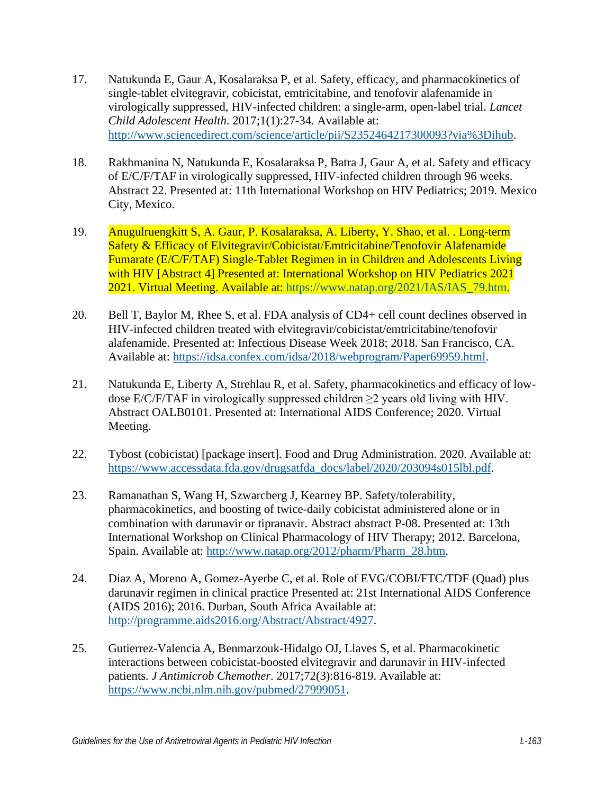- <span id="page-12-0"></span>17. Natukunda E, Gaur A, Kosalaraksa P, et al. Safety, efficacy, and pharmacokinetics of single-tablet elvitegravir, cobicistat, emtricitabine, and tenofovir alafenamide in virologically suppressed, HIV-infected children: a single-arm, open-label trial. *Lancet Child Adolescent Health*. 2017;1(1):27-34. Available at: [http://www.sciencedirect.com/science/article/pii/S2352464217300093?via%3Dihub.](http://www.sciencedirect.com/science/article/pii/S2352464217300093?via%3Dihub)
- <span id="page-12-1"></span>18. Rakhmanina N, Natukunda E, Kosalaraksa P, Batra J, Gaur A, et al. Safety and efficacy of E/C/F/TAF in virologically suppressed, HIV-infected children through 96 weeks. Abstract 22. Presented at: 11th International Workshop on HIV Pediatrics; 2019. Mexico City, Mexico.
- <span id="page-12-2"></span>19. Anugulruengkitt S, A. Gaur, P. Kosalaraksa, A. Liberty, Y. Shao, et al. . Long-term Safety & Efficacy of Elvitegravir/Cobicistat/Emtricitabine/Tenofovir Alafenamide Fumarate (E/C/F/TAF) Single-Tablet Regimen in in Children and Adolescents Living with HIV [Abstract 4] Presented at: International Workshop on HIV Pediatrics 2021 2021. Virtual Meeting. Available at: [https://www.natap.org/2021/IAS/IAS\\_79.htm.](https://www.natap.org/2021/IAS/IAS_79.htm)
- <span id="page-12-3"></span>20. Bell T, Baylor M, Rhee S, et al. FDA analysis of CD4+ cell count declines observed in HIV-infected children treated with elvitegravir/cobicistat/emtricitabine/tenofovir alafenamide. Presented at: Infectious Disease Week 2018; 2018. San Francisco, CA. Available at: [https://idsa.confex.com/idsa/2018/webprogram/Paper69959.html.](https://idsa.confex.com/idsa/2018/webprogram/Paper69959.html)
- <span id="page-12-4"></span>21. Natukunda E, Liberty A, Strehlau R, et al. Safety, pharmacokinetics and efficacy of lowdose E/C/F/TAF in virologically suppressed children  $\geq$  years old living with HIV. Abstract OALB0101. Presented at: International AIDS Conference; 2020. Virtual Meeting.
- <span id="page-12-5"></span>22. Tybost (cobicistat) [package insert]. Food and Drug Administration. 2020. Available at: [https://www.accessdata.fda.gov/drugsatfda\\_docs/label/2020/203094s015lbl.pdf.](https://www.accessdata.fda.gov/drugsatfda_docs/label/2020/203094s015lbl.pdf)
- <span id="page-12-6"></span>23. Ramanathan S, Wang H, Szwarcberg J, Kearney BP. Safety/tolerability, pharmacokinetics, and boosting of twice-daily cobicistat administered alone or in combination with darunavir or tipranavir. Abstract abstract P-08. Presented at: 13th International Workshop on Clinical Pharmacology of HIV Therapy; 2012. Barcelona, Spain. Available at: [http://www.natap.org/2012/pharm/Pharm\\_28.htm.](http://www.natap.org/2012/pharm/Pharm_28.htm)
- 24. Diaz A, Moreno A, Gomez-Ayerbe C, et al. Role of EVG/COBI/FTC/TDF (Quad) plus darunavir regimen in clinical practice Presented at: 21st International AIDS Conference (AIDS 2016); 2016. Durban, South Africa Available at: [http://programme.aids2016.org/Abstract/Abstract/4927.](http://programme.aids2016.org/Abstract/Abstract/4927)
- 25. Gutierrez-Valencia A, Benmarzouk-Hidalgo OJ, Llaves S, et al. Pharmacokinetic interactions between cobicistat-boosted elvitegravir and darunavir in HIV-infected patients. *J Antimicrob Chemother*. 2017;72(3):816-819. Available at: [https://www.ncbi.nlm.nih.gov/pubmed/27999051.](https://www.ncbi.nlm.nih.gov/pubmed/27999051)